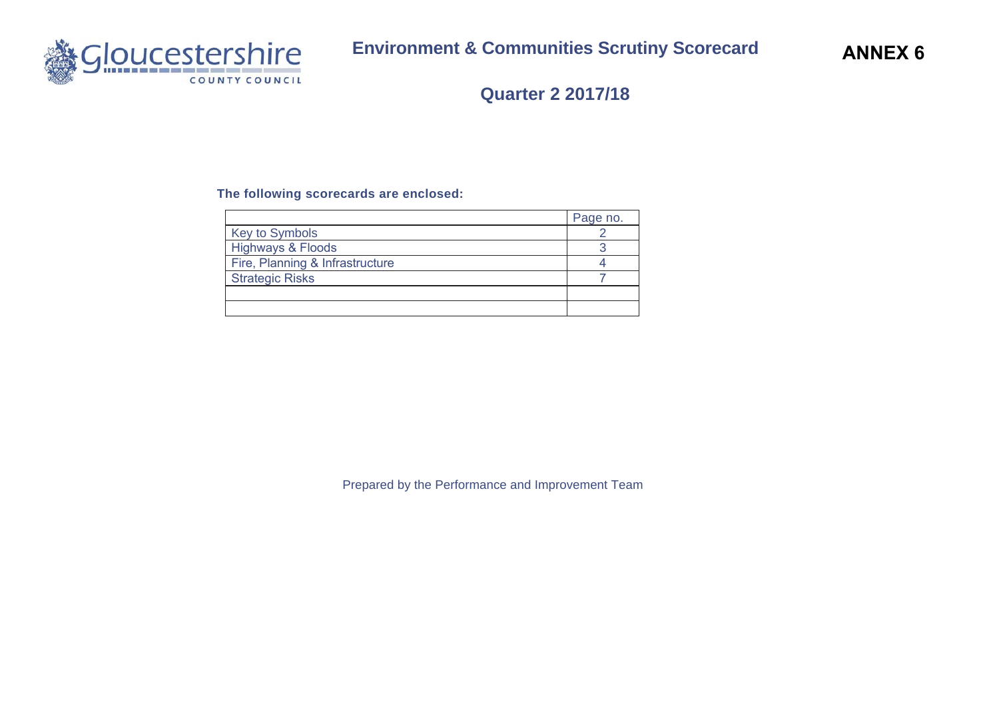

# **Quarter 2 2017/18**

#### **The following scorecards are enclosed:**

|                                 | Page no. |
|---------------------------------|----------|
| <b>Key to Symbols</b>           |          |
| <b>Highways &amp; Floods</b>    |          |
| Fire, Planning & Infrastructure |          |
| <b>Strategic Risks</b>          |          |
|                                 |          |
|                                 |          |

Prepared by the Performance and Improvement Team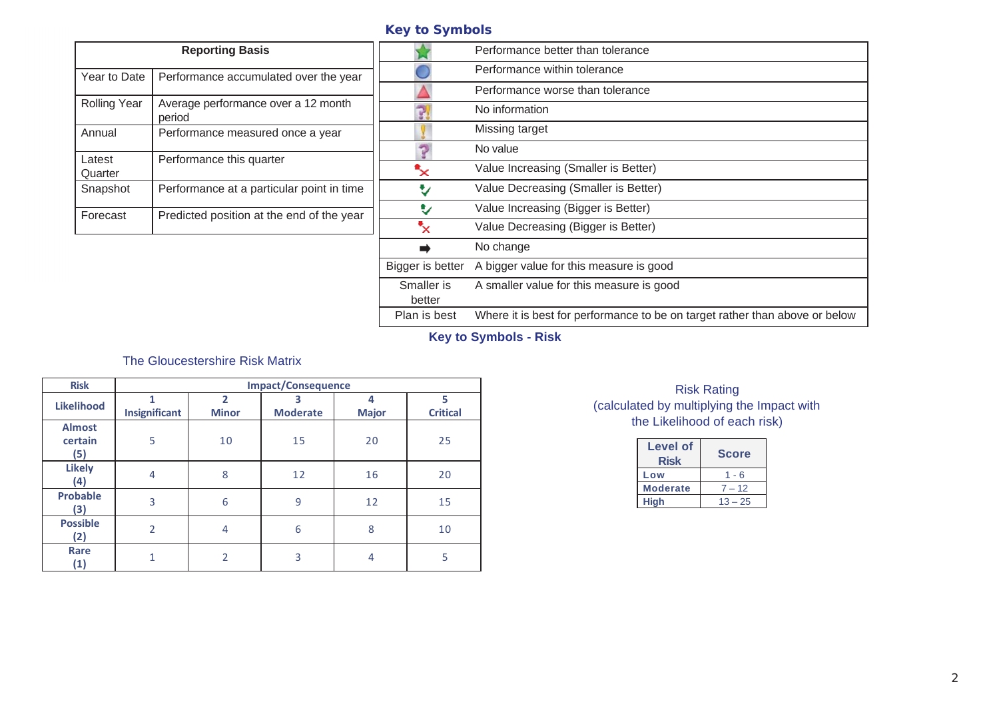## **Key to Symbols**

|                     | <b>Reporting Basis</b>                        |
|---------------------|-----------------------------------------------|
| Year to Date        | Performance accumulated over the year         |
| <b>Rolling Year</b> | Average performance over a 12 month<br>period |
| Annual              | Performance measured once a year              |
| Latest<br>Quarter   | Performance this quarter                      |
| Snapshot            | Performance at a particular point in time     |
| Forecast            | Predicted position at the end of the year     |

|                      | Performance better than tolerance                                           |
|----------------------|-----------------------------------------------------------------------------|
|                      | Performance within tolerance                                                |
|                      | Performance worse than tolerance                                            |
|                      | No information                                                              |
|                      | Missing target                                                              |
|                      | No value                                                                    |
|                      | Value Increasing (Smaller is Better)                                        |
|                      | Value Decreasing (Smaller is Better)                                        |
| ູ                    | Value Increasing (Bigger is Better)                                         |
| ×                    | Value Decreasing (Bigger is Better)                                         |
|                      | No change                                                                   |
| Bigger is better     | A bigger value for this measure is good                                     |
| Smaller is<br>better | A smaller value for this measure is good                                    |
| Plan is best         | Where it is best for performance to be on target rather than above or below |

**Key to Symbols - Risk**

#### The Gloucestershire Risk Matrix

| <b>Risk</b>                     | <b>Impact/Consequence</b> |                                |                      |                   |                      |  |  |  |  |  |  |
|---------------------------------|---------------------------|--------------------------------|----------------------|-------------------|----------------------|--|--|--|--|--|--|
| <b>Likelihood</b>               | 1<br>Insignificant        | $\overline{2}$<br><b>Minor</b> | 3<br><b>Moderate</b> | 4<br><b>Major</b> | 5<br><b>Critical</b> |  |  |  |  |  |  |
| <b>Almost</b><br>certain<br>(5) | 5                         | 10                             | 15                   | 20                | 25                   |  |  |  |  |  |  |
| <b>Likely</b><br>(4)            | 4                         | 8                              | 12                   | 16                | 20                   |  |  |  |  |  |  |
| <b>Probable</b><br>(3)          | 3                         | 6                              | 9                    | 12                | 15                   |  |  |  |  |  |  |
| <b>Possible</b><br>(2)          | $\overline{2}$            | $\overline{4}$                 | 6                    | 8                 | 10                   |  |  |  |  |  |  |
| Rare<br>(1)                     | 1                         | 2                              | 3                    | 4                 | 5                    |  |  |  |  |  |  |

#### Risk Rating (calculated by multiplying the Impact with the Likelihood of each risk)

| <b>Level of</b><br><b>Risk</b> | <b>Score</b> |
|--------------------------------|--------------|
| Low                            | 1 - 6        |
| <b>Moderate</b>                | $7 - 12$     |
| <b>High</b>                    | $13 - 25$    |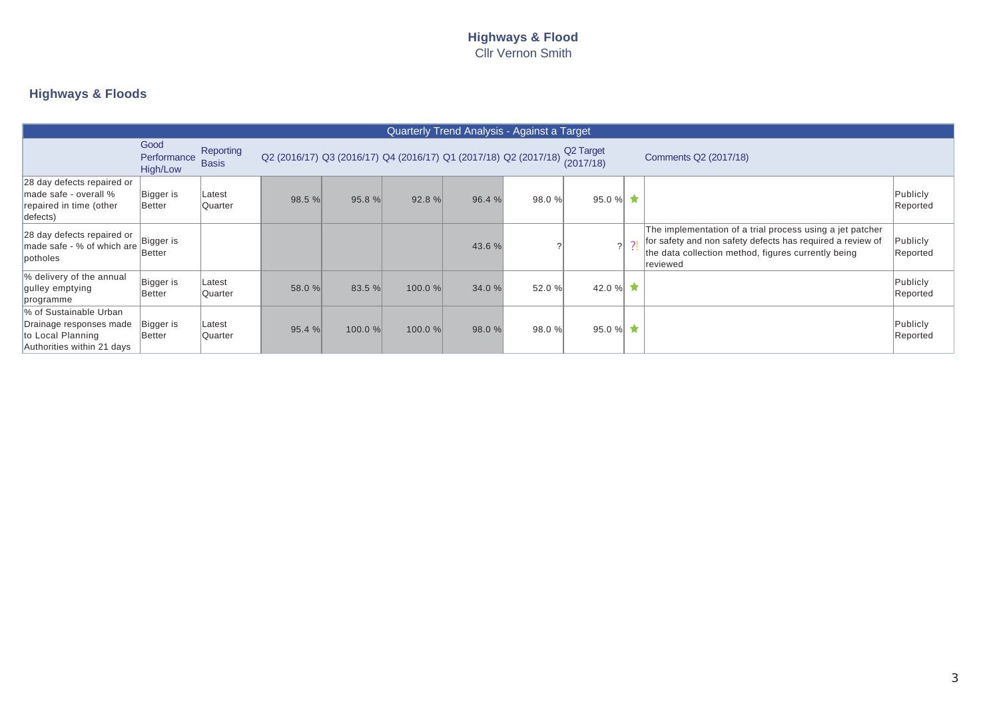## **Highways & Floods**

|                                                                                                      | Quarterly Trend Analysis - Against a Target |                           |        |                                                                  |         |        |        |                        |  |                                                                                                                                                                                             |                      |  |  |
|------------------------------------------------------------------------------------------------------|---------------------------------------------|---------------------------|--------|------------------------------------------------------------------|---------|--------|--------|------------------------|--|---------------------------------------------------------------------------------------------------------------------------------------------------------------------------------------------|----------------------|--|--|
|                                                                                                      | Good<br>Performance<br>High/Low             | Reporting<br><b>Basis</b> |        | Q2 (2016/17) Q3 (2016/17) Q4 (2016/17) Q1 (2017/18) Q2 (2017/18) |         |        |        | Q2 Target<br>(2017/18) |  | Comments Q2 (2017/18)                                                                                                                                                                       |                      |  |  |
| 28 day defects repaired or<br>made safe - overall %<br>repaired in time (other<br>defects)           | Bigger is<br>Better                         | Latest<br>Quarter         | 98.5 % | 95.8 %                                                           | 92.8%   | 96.4 % | 98.0 % | 95.0 %                 |  |                                                                                                                                                                                             | Publicly<br>Reported |  |  |
| 28 day defects repaired or<br>made safe - % of which are<br>potholes                                 | Bigger is<br><b>Better</b>                  |                           |        |                                                                  |         | 43.6 % |        |                        |  | The implementation of a trial process using a jet patcher<br>for safety and non safety defects has required a review of<br>the data collection method, figures currently being<br>Ireviewed | Publicly<br>Reported |  |  |
| % delivery of the annual<br>gulley emptying<br>programme                                             | Bigger is<br>Better                         | Latest<br>Quarter         | 58.0 % | 83.5 %                                                           | 100.0%  | 34.0 % | 52.0%  | 42.0 %                 |  |                                                                                                                                                                                             | Publicly<br>Reported |  |  |
| % of Sustainable Urban<br>Drainage responses made<br>to Local Planning<br>Authorities within 21 days | Bigger is<br>Better                         | Latest<br>Quarter         | 95.4%  | 100.0%                                                           | 100.0 % | 98.0 % | 98.0 % | 95.0 %                 |  |                                                                                                                                                                                             | Publicly<br>Reported |  |  |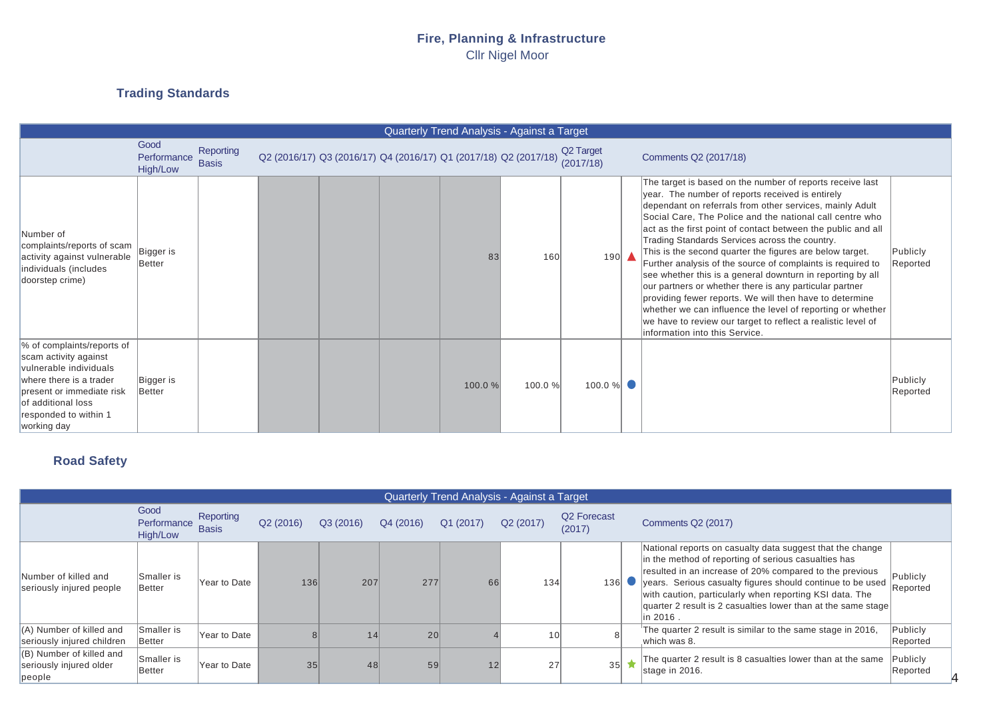#### **Fire, Planning & Infrastructure** Cllr Nigel Moor

## **Trading Standards**

|                                                                                                                                                                                                     |                                 |                           |                                                                  |  | Quarterly Trend Analysis - Against a Target |         |                                    |                                                                                                                                                                                                                                                                                                                                                                                                                                                                                                                                                                                                                                                                                                                                                                                                                                        |                      |
|-----------------------------------------------------------------------------------------------------------------------------------------------------------------------------------------------------|---------------------------------|---------------------------|------------------------------------------------------------------|--|---------------------------------------------|---------|------------------------------------|----------------------------------------------------------------------------------------------------------------------------------------------------------------------------------------------------------------------------------------------------------------------------------------------------------------------------------------------------------------------------------------------------------------------------------------------------------------------------------------------------------------------------------------------------------------------------------------------------------------------------------------------------------------------------------------------------------------------------------------------------------------------------------------------------------------------------------------|----------------------|
|                                                                                                                                                                                                     | Good<br>Performance<br>High/Low | Reporting<br><b>Basis</b> | Q2 (2016/17) Q3 (2016/17) Q4 (2016/17) Q1 (2017/18) Q2 (2017/18) |  |                                             |         | Q <sub>2</sub> Target<br>(2017/18) | Comments Q2 (2017/18)                                                                                                                                                                                                                                                                                                                                                                                                                                                                                                                                                                                                                                                                                                                                                                                                                  |                      |
| Number of<br>complaints/reports of scam<br>activity against vulnerable<br>individuals (includes<br>doorstep crime)                                                                                  | Bigger is<br>Better             |                           |                                                                  |  | 83                                          | 160     | 190                                | The target is based on the number of reports receive last<br>year. The number of reports received is entirely<br>dependant on referrals from other services, mainly Adult<br>Social Care, The Police and the national call centre who<br>act as the first point of contact between the public and all<br>Trading Standards Services across the country.<br>This is the second quarter the figures are below target.<br>Further analysis of the source of complaints is required to<br>see whether this is a general downturn in reporting by all<br>our partners or whether there is any particular partner<br>providing fewer reports. We will then have to determine<br>whether we can influence the level of reporting or whether<br>we have to review our target to reflect a realistic level of<br>information into this Service. | Publicly<br>Reported |
| % of complaints/reports of<br>scam activity against<br>vulnerable individuals<br>where there is a trader<br>present or immediate risk<br>of additional loss<br>responded to within 1<br>working day | Bigger is<br>Better             |                           |                                                                  |  | 100.0%                                      | 100.0 % | 100.0 %                            |                                                                                                                                                                                                                                                                                                                                                                                                                                                                                                                                                                                                                                                                                                                                                                                                                                        | Publicly<br>Reported |

# **Road Safety**

|                                                                 | Quarterly Trend Analysis - Against a Target |                           |           |                 |           |           |                  |                       |  |                                                                                                                                                                                                                                                                                                                                                                                     |                      |  |  |  |
|-----------------------------------------------------------------|---------------------------------------------|---------------------------|-----------|-----------------|-----------|-----------|------------------|-----------------------|--|-------------------------------------------------------------------------------------------------------------------------------------------------------------------------------------------------------------------------------------------------------------------------------------------------------------------------------------------------------------------------------------|----------------------|--|--|--|
|                                                                 | Good<br>Performance<br>High/Low             | Reporting<br><b>Basis</b> | Q2 (2016) | Q3 (2016)       | Q4 (2016) | Q1 (2017) | Q2 (2017)        | Q2 Forecast<br>(2017) |  | Comments Q2 (2017)                                                                                                                                                                                                                                                                                                                                                                  |                      |  |  |  |
| Number of killed and<br>seriously injured people                | Smaller is<br><b>Better</b>                 | Year to Date              | 136       | 207             | 277       | 66        | 134 <sub>1</sub> | 136                   |  | National reports on casualty data suggest that the change<br>in the method of reporting of serious casualties has<br>resulted in an increase of 20% compared to the previous<br>years. Serious casualty figures should continue to be used<br>with caution, particularly when reporting KSI data. The<br>quarter 2 result is 2 casualties lower than at the same stage<br>in 2016 . | Publicly<br>Reported |  |  |  |
| (A) Number of killed and<br>seriously injured children          | Smaller is<br>Better                        | Year to Date              |           | 14 <sub>h</sub> | 20        |           | 10 <sup>1</sup>  |                       |  | The quarter 2 result is similar to the same stage in 2016,<br>which was 8.                                                                                                                                                                                                                                                                                                          | Publicly<br>Reported |  |  |  |
| $(B)$ Number of killed and<br>seriously injured older<br>people | Smaller is<br>Better                        | Year to Date              | $35$      | 48              | 59        | 12        | 27               | 35                    |  | The quarter 2 result is 8 casualties lower than at the same<br>stage in 2016.                                                                                                                                                                                                                                                                                                       | Publicly<br>Reported |  |  |  |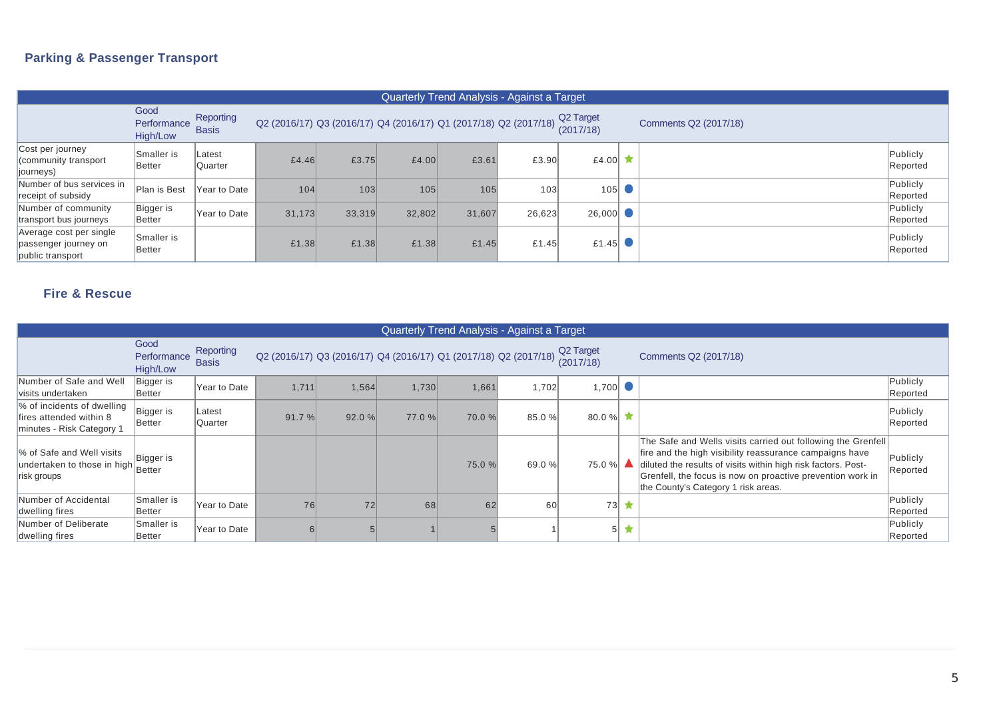## **Parking & Passenger Transport**

|                                                                     |                                 |                           |        |        |        | Quarterly Trend Analysis - Against a Target                      |        |                        |                       |                      |
|---------------------------------------------------------------------|---------------------------------|---------------------------|--------|--------|--------|------------------------------------------------------------------|--------|------------------------|-----------------------|----------------------|
|                                                                     | Good<br>Performance<br>High/Low | Reporting<br><b>Basis</b> |        |        |        | Q2 (2016/17) Q3 (2016/17) Q4 (2016/17) Q1 (2017/18) Q2 (2017/18) |        | Q2 Target<br>(2017/18) | Comments Q2 (2017/18) |                      |
| Cost per journey<br>(community transport)<br>journeys)              | Smaller is<br>lBetter           | Latest<br>lQuarter        | £4.46  | £3.75  | £4.00  | £3.61                                                            | £3.90  | £4.00                  |                       | Publicly<br>Reported |
| Number of bus services in<br>receipt of subsidy                     | Plan is Best                    | Year to Date              | 104    | 103    | 105    | 105                                                              | 103    | 105                    |                       | Publicly<br>Reported |
| Number of community<br>transport bus journeys                       | Bigger is<br>Better             | Year to Date              | 31,173 | 33,319 | 32,802 | 31,607                                                           | 26,623 | 26,000                 |                       | Publicly<br>Reported |
| Average cost per single<br>passenger journey on<br>public transport | Smaller is<br>Better            |                           | £1.38  | £1.38  | £1.38  | £1.45                                                            | £1.45  | £1.45                  |                       | Publicly<br>Reported |

#### **Fire & Rescue**

|                                                                                    |                                 |                           |       |                                                                  |        | Quarterly Trend Analysis - Against a Target |        |                                    |                                                                                                                                                                                                                                                                                               |                      |
|------------------------------------------------------------------------------------|---------------------------------|---------------------------|-------|------------------------------------------------------------------|--------|---------------------------------------------|--------|------------------------------------|-----------------------------------------------------------------------------------------------------------------------------------------------------------------------------------------------------------------------------------------------------------------------------------------------|----------------------|
|                                                                                    | Good<br>Performance<br>High/Low | Reporting<br><b>Basis</b> |       | Q2 (2016/17) Q3 (2016/17) Q4 (2016/17) Q1 (2017/18) Q2 (2017/18) |        |                                             |        | Q <sub>2</sub> Target<br>(2017/18) | Comments Q2 (2017/18)                                                                                                                                                                                                                                                                         |                      |
| Number of Safe and Well<br>lvisits undertaken                                      | Bigger is<br>lBetter            | Year to Date              | 1,711 | 1,564                                                            | 1,730  | 1,661                                       | 1,702  | 1,700                              |                                                                                                                                                                                                                                                                                               | Publicly<br>Reported |
| % of incidents of dwelling<br>fires attended within 8<br>minutes - Risk Category 1 | Bigger is<br>Better             | Latest<br>Quarter         | 91.7% | 92.0%                                                            | 77.0 % | 70.0%                                       | 85.0 % | 80.0 % $\star$                     |                                                                                                                                                                                                                                                                                               | Publicly<br>Reported |
| % of Safe and Well visits<br>undertaken to those in high Better<br>risk groups     | Bigger is                       |                           |       |                                                                  |        | 75.0 %                                      | 69.0 % | 75.0 %                             | The Safe and Wells visits carried out following the Grenfell<br>fire and the high visibility reassurance campaigns have<br>diluted the results of visits within high risk factors. Post-<br>Grenfell, the focus is now on proactive prevention work in<br>the County's Category 1 risk areas. | Publicly<br>Reported |
| Number of Accidental<br>dwelling fires                                             | Smaller is<br>Better            | Year to Date              | 76    | 72                                                               | 68     | 62                                          | 60     | 73                                 |                                                                                                                                                                                                                                                                                               | Publicly<br>Reported |
| Number of Deliberate<br>dwelling fires                                             | <b>Smaller</b> is<br>Better     | Year to Date              | 6     | 5 <sup>1</sup>                                                   |        | 5                                           |        | 5 <sup>1</sup>                     |                                                                                                                                                                                                                                                                                               | Publicly<br>Reported |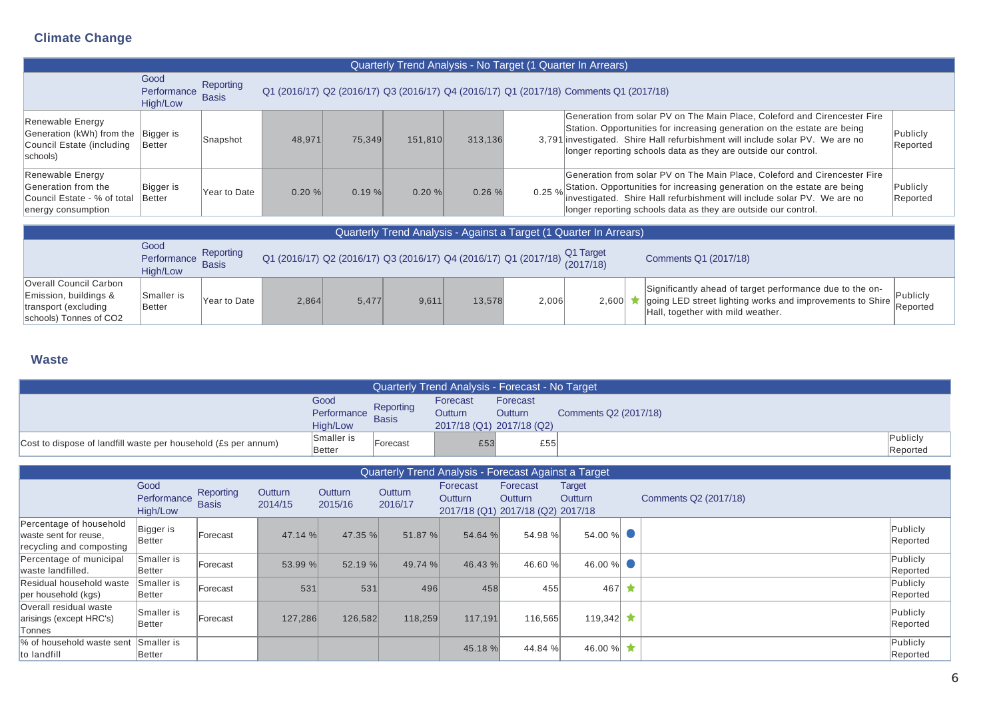## **Climate Change**

|                                                                                                  | Quarterly Trend Analysis - No Target (1 Quarter In Arrears)                                                                                            |              |        |        |         |         |       |                                                                                                                                                                                                                                                                                                          |                      |  |  |  |  |  |
|--------------------------------------------------------------------------------------------------|--------------------------------------------------------------------------------------------------------------------------------------------------------|--------------|--------|--------|---------|---------|-------|----------------------------------------------------------------------------------------------------------------------------------------------------------------------------------------------------------------------------------------------------------------------------------------------------------|----------------------|--|--|--|--|--|
|                                                                                                  | Good<br>Reporting<br>Q1 (2016/17) Q2 (2016/17) Q3 (2016/17) Q4 (2016/17) Q1 (2017/18) Comments Q1 (2017/18)<br>Performance<br><b>Basis</b><br>High/Low |              |        |        |         |         |       |                                                                                                                                                                                                                                                                                                          |                      |  |  |  |  |  |
| Renewable Energy<br>Generation (kWh) from the Bigger is<br>Council Estate (including<br>schools) | <b>Better</b>                                                                                                                                          | Snapshot     | 48,971 | 75.349 | 151.810 | 313.136 |       | Generation from solar PV on The Main Place, Coleford and Cirencester Fire<br>Station. Opportunities for increasing generation on the estate are being<br>3,791 investigated. Shire Hall refurbishment will include solar PV. We are no<br>longer reporting schools data as they are outside our control. | Publicly<br>Reported |  |  |  |  |  |
| Renewable Energy<br>Generation from the<br>Council Estate - % of total<br>energy consumption     | Bigger is<br>Better                                                                                                                                    | Year to Date | 0.20%  | 0.19%  | 0.20%   | 0.26%   | 0.25% | Generation from solar PV on The Main Place, Coleford and Cirencester Fire<br>Station. Opportunities for increasing generation on the estate are being<br>investigated. Shire Hall refurbishment will include solar PV. We are no<br>longer reporting schools data as they are outside our control.       | Publicly<br>Reported |  |  |  |  |  |

|                                                                                                          |                                  |                           |                                                                            |       | Quarterly Trend Analysis - Against a Target (1 Quarter In Arrears) |        |       |       |                                                                                                                                                                    |                      |
|----------------------------------------------------------------------------------------------------------|----------------------------------|---------------------------|----------------------------------------------------------------------------|-------|--------------------------------------------------------------------|--------|-------|-------|--------------------------------------------------------------------------------------------------------------------------------------------------------------------|----------------------|
|                                                                                                          | Good<br>Performance:<br>High/Low | Reporting<br><b>Basis</b> | Q1 (2016/17) Q2 (2016/17) Q3 (2016/17) Q4 (2016/17) Q1 (2017/18) Q1 Target |       |                                                                    |        |       |       | Comments Q1 (2017/18)                                                                                                                                              |                      |
| <b>Overall Council Carbon</b><br>Emission, buildings &<br>transport (excluding<br>schools) Tonnes of CO2 | lSmaller is<br><b>Better</b>     | <b>Year to Date</b>       | 2.864                                                                      | 5.477 | 9.611                                                              | 13.578 | 2,006 | 2.600 | Significantly ahead of target performance due to the on-<br>going LED street lighting works and improvements to Shire $\vert$<br>Hall, together with mild weather. | Publicly<br>Reported |

#### **Waste**

|                                                                |             |              | Quarterly Trend Analysis - Forecast - No Target |          |                       |          |
|----------------------------------------------------------------|-------------|--------------|-------------------------------------------------|----------|-----------------------|----------|
|                                                                | Good        | Reporting    | Forecast                                        | Forecast |                       |          |
|                                                                | Performance | <b>Basis</b> | Outturn                                         | Outturn  | Comments Q2 (2017/18) |          |
|                                                                | High/Low    |              | 2017/18 (Q1) 2017/18 (Q2)                       |          |                       |          |
| Cost to dispose of landfill waste per household (£s per annum) | Smaller is  | Forecast     | £53                                             | £55      |                       | Publicly |
|                                                                | Better      |              |                                                 |          |                       | Reported |

| Quarterly Trend Analysis - Forecast Against a Target                         |                                 |                           |                    |                    |                    |                            |                                                                 |                          |   |                       |                      |
|------------------------------------------------------------------------------|---------------------------------|---------------------------|--------------------|--------------------|--------------------|----------------------------|-----------------------------------------------------------------|--------------------------|---|-----------------------|----------------------|
|                                                                              | Good<br>Performance<br>High/Low | Reporting<br><b>Basis</b> | Outturn<br>2014/15 | Outturn<br>2015/16 | Outturn<br>2016/17 | Forecast<br><b>Outturn</b> | Forecast<br><b>Outturn</b><br>2017/18 (Q1) 2017/18 (Q2) 2017/18 | Target<br><b>Outturn</b> |   | Comments Q2 (2017/18) |                      |
| Percentage of household<br>waste sent for reuse.<br>recycling and composting | Bigger is<br>Better             | lForecast                 | 47.14 %            | 47.35 %            | 51.87 %            | 54.64 %                    | 54.98 %                                                         | 54.00 %                  |   |                       | Publicly<br>Reported |
| Percentage of municipal<br>waste landfilled.                                 | Smaller is<br>Better            | Forecast                  | 53.99 %            | 52.19 %            | 49.74 %            | 46.43 %                    | 46.60 %                                                         | 46.00 %                  |   |                       | Publicly<br>Reported |
| Residual household waste<br>per household (kgs)                              | Smaller is<br>Better            | Forecast                  | 531                | 531                | 496                | 458                        | 455                                                             | 467                      |   |                       | Publicly<br>Reported |
| Overall residual waste<br>arisings (except HRC's)<br>Tonnes                  | Smaller is<br><b>Better</b>     | Forecast                  | 127,286            | 126,582            | 118,259            | 117.191                    | 116,565                                                         | 119,342                  |   |                       | Publicly<br>Reported |
| % of household waste sent<br>to landfill                                     | Smaller is<br><b>IBetter</b>    |                           |                    |                    |                    | 45.18 %                    | 44.84 %                                                         | 46.00 %                  | × |                       | Publicly<br>Reported |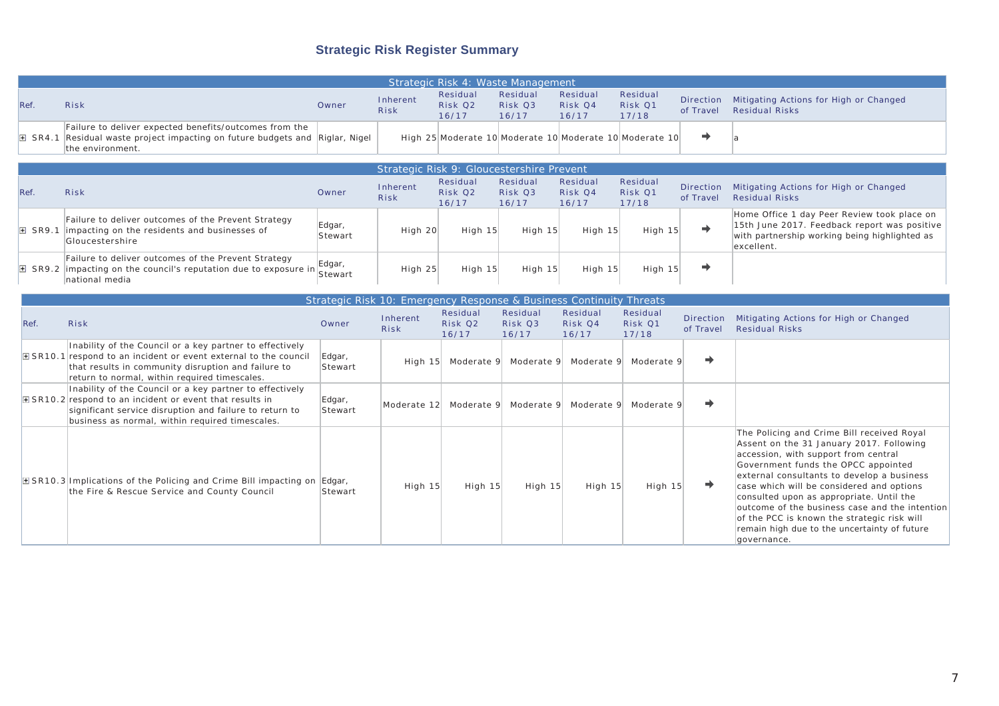## **Strategic Risk Register Summary**

|             |                                                                                                                                                                                                                                                |                   |                                           |                              | Strategic Risk 4: Waste Management                      |                              |                              |                               |                                                                                                                                                                                                                                                                                                                                                                                                                                                                              |
|-------------|------------------------------------------------------------------------------------------------------------------------------------------------------------------------------------------------------------------------------------------------|-------------------|-------------------------------------------|------------------------------|---------------------------------------------------------|------------------------------|------------------------------|-------------------------------|------------------------------------------------------------------------------------------------------------------------------------------------------------------------------------------------------------------------------------------------------------------------------------------------------------------------------------------------------------------------------------------------------------------------------------------------------------------------------|
| Ref.        | Risk                                                                                                                                                                                                                                           | Owner             | Inherent<br><b>Risk</b>                   | Residual<br>Risk Q2<br>16/17 | Residual<br>Risk Q3<br>16/17                            | Residual<br>Risk Q4<br>16/17 | Residual<br>Risk Q1<br>17/18 | Direction<br>of Travel        | Mitigating Actions for High or Changed<br><b>Residual Risks</b>                                                                                                                                                                                                                                                                                                                                                                                                              |
|             | Failure to deliver expected benefits/outcomes from the<br>$\boxplus$ SR4.1 Residual waste project impacting on future budgets and Riglar, Nigel<br>the environment.                                                                            |                   |                                           |                              | High 25 Moderate 10 Moderate 10 Moderate 10 Moderate 10 |                              |                              | ◆                             |                                                                                                                                                                                                                                                                                                                                                                                                                                                                              |
|             |                                                                                                                                                                                                                                                |                   | Strategic Risk 9: Gloucestershire Prevent |                              |                                                         |                              |                              |                               |                                                                                                                                                                                                                                                                                                                                                                                                                                                                              |
| Ref.        | Risk                                                                                                                                                                                                                                           | Owner             | Inherent<br><b>Risk</b>                   | Residual<br>Risk Q2<br>16/17 | Residual<br>Risk Q3<br>16/17                            | Residual<br>Risk Q4<br>16/17 | Residual<br>Risk Q1<br>17/18 | Direction<br>of Travel        | Mitigating Actions for High or Changed<br><b>Residual Risks</b>                                                                                                                                                                                                                                                                                                                                                                                                              |
| $\pm$ SR9.1 | Failure to deliver outcomes of the Prevent Strategy<br>impacting on the residents and businesses of<br>Gloucestershire                                                                                                                         | Edgar,<br>Stewart | High 20                                   | High $15$                    | High $15$                                               | High 15                      | High 15                      | $\Rightarrow$                 | Home Office 1 day Peer Review took place on<br>15th June 2017. Feedback report was positive<br>with partnership working being highlighted as<br>excellent.                                                                                                                                                                                                                                                                                                                   |
|             | Failure to deliver outcomes of the Prevent Strategy<br>$\boxplus$ SR9.2 impacting on the council's reputation due to exposure in<br>national media                                                                                             | Edgar,<br>Stewart | High 25                                   | High $15$                    | High $15$                                               | High 15                      | High 15                      | →                             |                                                                                                                                                                                                                                                                                                                                                                                                                                                                              |
|             | Strategic Risk 10: Emergency Response & Business Continuity Threats                                                                                                                                                                            |                   |                                           |                              |                                                         |                              |                              |                               |                                                                                                                                                                                                                                                                                                                                                                                                                                                                              |
| Ref.        | Risk                                                                                                                                                                                                                                           | Owner             | Inherent<br>Risk                          | Residual<br>Risk Q2<br>16/17 | Residual<br>Risk Q3<br>16/17                            | Residual<br>Risk Q4<br>16/17 | Residual<br>Risk Q1<br>17/18 | <b>Direction</b><br>of Travel | Mitigating Actions for High or Changed<br><b>Residual Risks</b>                                                                                                                                                                                                                                                                                                                                                                                                              |
|             | Inability of the Council or a key partner to effectively<br>ESR10.1 respond to an incident or event external to the council<br>that results in community disruption and failure to<br>return to normal, within required timescales.            | Edgar,<br>Stewart |                                           | High 15 Moderate 9           | Moderate 9                                              | Moderate 9                   | Moderate 9                   | $\rightarrow$                 |                                                                                                                                                                                                                                                                                                                                                                                                                                                                              |
|             | Inability of the Council or a key partner to effectively<br>$\boxed{\pm}$ SR10.2 respond to an incident or event that results in<br>significant service disruption and failure to return to<br>business as normal, within required timescales. | Edgar,<br>Stewart | Moderate 12                               | Moderate 9                   | Moderate 9                                              | Moderate 9                   | Moderate 9                   | ⇛                             |                                                                                                                                                                                                                                                                                                                                                                                                                                                                              |
|             | ESR10.3 Implications of the Policing and Crime Bill impacting on<br>the Fire & Rescue Service and County Council                                                                                                                               | Edgar,<br>Stewart | High 15                                   | High 15                      | High 15                                                 | High 15                      | High $15$                    | →                             | The Policing and Crime Bill received Royal<br>Assent on the 31 January 2017. Following<br>accession, with support from central<br>Government funds the OPCC appointed<br>external consultants to develop a business<br>case which will be considered and options<br>consulted upon as appropriate. Until the<br>outcome of the business case and the intention<br>of the PCC is known the strategic risk will<br>remain high due to the uncertainty of future<br>governance. |